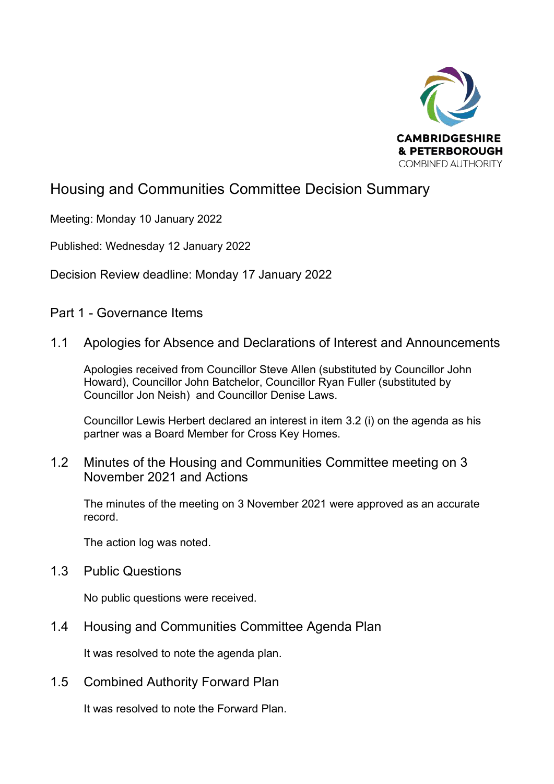

## Housing and Communities Committee Decision Summary

Meeting: Monday 10 January 2022

Published: Wednesday 12 January 2022

Decision Review deadline: Monday 17 January 2022

Part 1 - Governance Items

## 1.1 Apologies for Absence and Declarations of Interest and Announcements

Apologies received from Councillor Steve Allen (substituted by Councillor John Howard), Councillor John Batchelor, Councillor Ryan Fuller (substituted by Councillor Jon Neish) and Councillor Denise Laws.

Councillor Lewis Herbert declared an interest in item 3.2 (i) on the agenda as his partner was a Board Member for Cross Key Homes.

## 1.2 Minutes of the Housing and Communities Committee meeting on 3 November 2021 and Actions

The minutes of the meeting on 3 November 2021 were approved as an accurate record.

The action log was noted.

1.3 Public Questions

No public questions were received.

1.4 Housing and Communities Committee Agenda Plan

It was resolved to note the agenda plan.

1.5 Combined Authority Forward Plan

It was resolved to note the Forward Plan.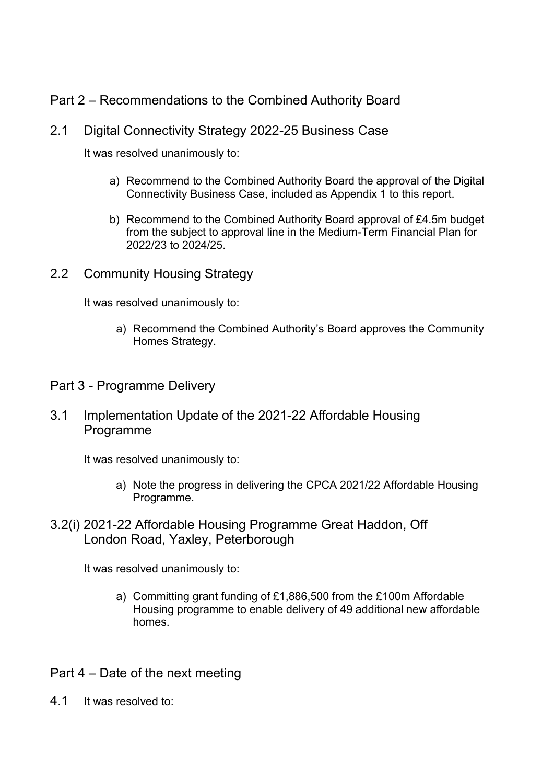Part 2 – Recommendations to the Combined Authority Board

## 2.1 Digital Connectivity Strategy 2022-25 Business Case

It was resolved unanimously to:

- a) Recommend to the Combined Authority Board the approval of the Digital Connectivity Business Case, included as Appendix 1 to this report.
- b) Recommend to the Combined Authority Board approval of £4.5m budget from the subject to approval line in the Medium-Term Financial Plan for 2022/23 to 2024/25.
- 2.2 Community Housing Strategy

It was resolved unanimously to:

- a) Recommend the Combined Authority's Board approves the Community Homes Strategy.
- Part 3 Programme Delivery
- 3.1 Implementation Update of the 2021-22 Affordable Housing Programme

It was resolved unanimously to:

- a) Note the progress in delivering the CPCA 2021/22 Affordable Housing Programme.
- 3.2(i) 2021-22 Affordable Housing Programme Great Haddon, Off London Road, Yaxley, Peterborough

It was resolved unanimously to:

- a) Committing grant funding of £1,886,500 from the £100m Affordable Housing programme to enable delivery of 49 additional new affordable homes.
- Part 4 Date of the next meeting
- 4.1 It was resolved to: